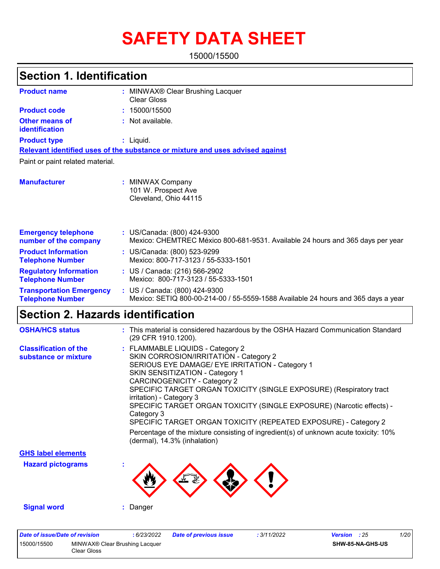# **SAFETY DATA SHEET**

15000/15500

|                                                            | <b>Section 1. Identification</b>                                                                                   |  |  |  |  |
|------------------------------------------------------------|--------------------------------------------------------------------------------------------------------------------|--|--|--|--|
| <b>Product name</b>                                        | : MINWAX® Clear Brushing Lacquer<br><b>Clear Gloss</b>                                                             |  |  |  |  |
| <b>Product code</b>                                        | 15000/15500<br>÷.                                                                                                  |  |  |  |  |
| Other means of<br>identification                           | : Not available.                                                                                                   |  |  |  |  |
| <b>Product type</b>                                        | $:$ Liquid.                                                                                                        |  |  |  |  |
|                                                            | Relevant identified uses of the substance or mixture and uses advised against                                      |  |  |  |  |
| Paint or paint related material.                           |                                                                                                                    |  |  |  |  |
| <b>Manufacturer</b>                                        | : MINWAX Company<br>101 W. Prospect Ave<br>Cleveland, Ohio 44115                                                   |  |  |  |  |
| <b>Emergency telephone</b><br>number of the company        | : US/Canada: (800) 424-9300<br>Mexico: CHEMTREC México 800-681-9531. Available 24 hours and 365 days per year      |  |  |  |  |
| <b>Product Information</b><br><b>Telephone Number</b>      | : US/Canada: (800) 523-9299<br>Mexico: 800-717-3123 / 55-5333-1501                                                 |  |  |  |  |
| <b>Regulatory Information</b><br><b>Telephone Number</b>   | : US / Canada: (216) 566-2902<br>Mexico: 800-717-3123 / 55-5333-1501                                               |  |  |  |  |
| <b>Transportation Emergency</b><br><b>Telephone Number</b> | : US / Canada: (800) 424-9300<br>Mexico: SETIQ 800-00-214-00 / 55-5559-1588 Available 24 hours and 365 days a year |  |  |  |  |
| Section 2. Hazards identification                          |                                                                                                                    |  |  |  |  |

| <b>OSHA/HCS status</b>                               | : This material is considered hazardous by the OSHA Hazard Communication Standard<br>(29 CFR 1910.1200).                                                                                                                                                                                                                                                                                                                                                                                                                                                                                     |
|------------------------------------------------------|----------------------------------------------------------------------------------------------------------------------------------------------------------------------------------------------------------------------------------------------------------------------------------------------------------------------------------------------------------------------------------------------------------------------------------------------------------------------------------------------------------------------------------------------------------------------------------------------|
| <b>Classification of the</b><br>substance or mixture | : FLAMMABLE LIQUIDS - Category 2<br>SKIN CORROSION/IRRITATION - Category 2<br>SERIOUS EYE DAMAGE/ EYE IRRITATION - Category 1<br><b>SKIN SENSITIZATION - Category 1</b><br>CARCINOGENICITY - Category 2<br>SPECIFIC TARGET ORGAN TOXICITY (SINGLE EXPOSURE) (Respiratory tract<br>irritation) - Category 3<br>SPECIFIC TARGET ORGAN TOXICITY (SINGLE EXPOSURE) (Narcotic effects) -<br>Category 3<br>SPECIFIC TARGET ORGAN TOXICITY (REPEATED EXPOSURE) - Category 2<br>Percentage of the mixture consisting of ingredient(s) of unknown acute toxicity: 10%<br>(dermal), 14.3% (inhalation) |
| <b>GHS label elements</b>                            |                                                                                                                                                                                                                                                                                                                                                                                                                                                                                                                                                                                              |
| <b>Hazard pictograms</b>                             |                                                                                                                                                                                                                                                                                                                                                                                                                                                                                                                                                                                              |

**Signal word :** Danger

| Date of issue/Date of revision |                                               | : 6/23/2022 | Date of previous issue | : 3/11/2022 | <b>Version</b> : 25 |                  | 1/20 |
|--------------------------------|-----------------------------------------------|-------------|------------------------|-------------|---------------------|------------------|------|
| 15000/15500                    | MINWAX® Clear Brushing Lacquer<br>Clear Gloss |             |                        |             |                     | SHW-85-NA-GHS-US |      |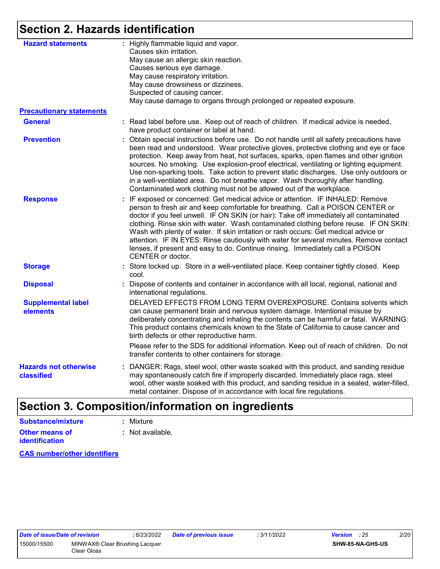### **Section 2. Hazards identification**

| <b>Hazard statements</b>                   | : Highly flammable liquid and vapor.<br>Causes skin irritation.<br>May cause an allergic skin reaction.<br>Causes serious eye damage.<br>May cause respiratory irritation.<br>May cause drowsiness or dizziness.<br>Suspected of causing cancer.<br>May cause damage to organs through prolonged or repeated exposure.                                                                                                                                                                                                                                                                                                                       |
|--------------------------------------------|----------------------------------------------------------------------------------------------------------------------------------------------------------------------------------------------------------------------------------------------------------------------------------------------------------------------------------------------------------------------------------------------------------------------------------------------------------------------------------------------------------------------------------------------------------------------------------------------------------------------------------------------|
| <b>Precautionary statements</b>            |                                                                                                                                                                                                                                                                                                                                                                                                                                                                                                                                                                                                                                              |
| <b>General</b>                             | : Read label before use. Keep out of reach of children. If medical advice is needed,<br>have product container or label at hand.                                                                                                                                                                                                                                                                                                                                                                                                                                                                                                             |
| <b>Prevention</b>                          | : Obtain special instructions before use. Do not handle until all safety precautions have<br>been read and understood. Wear protective gloves, protective clothing and eye or face<br>protection. Keep away from heat, hot surfaces, sparks, open flames and other ignition<br>sources. No smoking. Use explosion-proof electrical, ventilating or lighting equipment.<br>Use non-sparking tools. Take action to prevent static discharges. Use only outdoors or<br>in a well-ventilated area. Do not breathe vapor. Wash thoroughly after handling.<br>Contaminated work clothing must not be allowed out of the workplace.                 |
| <b>Response</b>                            | : IF exposed or concerned: Get medical advice or attention. IF INHALED: Remove<br>person to fresh air and keep comfortable for breathing. Call a POISON CENTER or<br>doctor if you feel unwell. IF ON SKIN (or hair): Take off immediately all contaminated<br>clothing. Rinse skin with water. Wash contaminated clothing before reuse. IF ON SKIN:<br>Wash with plenty of water. If skin irritation or rash occurs: Get medical advice or<br>attention. IF IN EYES: Rinse cautiously with water for several minutes. Remove contact<br>lenses, if present and easy to do. Continue rinsing. Immediately call a POISON<br>CENTER or doctor. |
| <b>Storage</b>                             | : Store locked up. Store in a well-ventilated place. Keep container tightly closed. Keep<br>cool.                                                                                                                                                                                                                                                                                                                                                                                                                                                                                                                                            |
| <b>Disposal</b>                            | : Dispose of contents and container in accordance with all local, regional, national and<br>international regulations.                                                                                                                                                                                                                                                                                                                                                                                                                                                                                                                       |
| <b>Supplemental label</b><br>elements      | DELAYED EFFECTS FROM LONG TERM OVEREXPOSURE. Contains solvents which<br>can cause permanent brain and nervous system damage. Intentional misuse by<br>deliberately concentrating and inhaling the contents can be harmful or fatal. WARNING:<br>This product contains chemicals known to the State of California to cause cancer and<br>birth defects or other reproductive harm.                                                                                                                                                                                                                                                            |
|                                            | Please refer to the SDS for additional information. Keep out of reach of children. Do not<br>transfer contents to other containers for storage.                                                                                                                                                                                                                                                                                                                                                                                                                                                                                              |
| <b>Hazards not otherwise</b><br>classified | : DANGER: Rags, steel wool, other waste soaked with this product, and sanding residue<br>may spontaneously catch fire if improperly discarded. Immediately place rags, steel<br>wool, other waste soaked with this product, and sanding residue in a sealed, water-filled,<br>metal container. Dispose of in accordance with local fire regulations.                                                                                                                                                                                                                                                                                         |

#### **Section 3. Composition/information on ingredients Substance/mixture :** Mixture

| oupolanu <del>c</del> /mixture | . MIALUIT        |
|--------------------------------|------------------|
| <b>Other means of</b>          | : Not available. |
| <b>identification</b>          |                  |

**CAS number/other identifiers**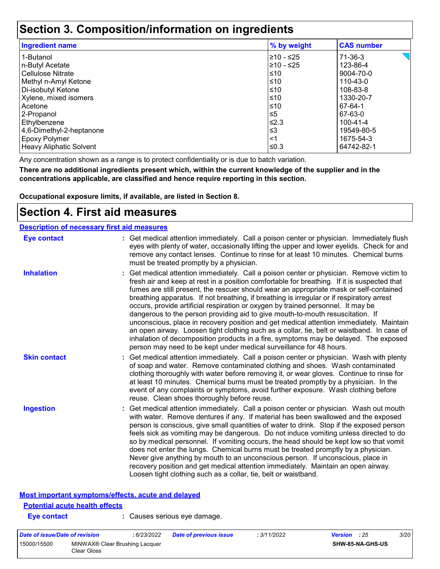### **Section 3. Composition/information on ingredients**

| <b>Ingredient name</b>   | % by weight | <b>CAS number</b> |
|--------------------------|-------------|-------------------|
| 1-Butanol                | ≥10 - ≤25   | 71-36-3           |
| n-Butyl Acetate          | l≥10 - ≤25  | 123-86-4          |
| l Cellulose Nitrate      | l≤10        | 9004-70-0         |
| Methyl n-Amyl Ketone     | ≤10         | 110-43-0          |
| Di-isobutyl Ketone       | l≤10        | 108-83-8          |
| Xylene, mixed isomers    | ≤10         | 1330-20-7         |
| l Acetone                | ≤10         | 67-64-1           |
| 2-Propanol               | ≤5          | 67-63-0           |
| Ethylbenzene             | l≤2.3       | 100-41-4          |
| 4,6-Dimethyl-2-heptanone | ՝≤3         | 19549-80-5        |
| <b>Epoxy Polymer</b>     | <1          | 1675-54-3         |
| Heavy Aliphatic Solvent  | ≤0.3        | 64742-82-1        |

Any concentration shown as a range is to protect confidentiality or is due to batch variation.

**There are no additional ingredients present which, within the current knowledge of the supplier and in the concentrations applicable, are classified and hence require reporting in this section.**

**Occupational exposure limits, if available, are listed in Section 8.**

### **Section 4. First aid measures**

| <b>Description of necessary first aid measures</b> |                                                                                                                                                                                                                                                                                                                                                                                                                                                                                                                                                                                                                                                                                                                                                                                                                                                                                                              |
|----------------------------------------------------|--------------------------------------------------------------------------------------------------------------------------------------------------------------------------------------------------------------------------------------------------------------------------------------------------------------------------------------------------------------------------------------------------------------------------------------------------------------------------------------------------------------------------------------------------------------------------------------------------------------------------------------------------------------------------------------------------------------------------------------------------------------------------------------------------------------------------------------------------------------------------------------------------------------|
| <b>Eye contact</b>                                 | : Get medical attention immediately. Call a poison center or physician. Immediately flush<br>eyes with plenty of water, occasionally lifting the upper and lower eyelids. Check for and<br>remove any contact lenses. Continue to rinse for at least 10 minutes. Chemical burns<br>must be treated promptly by a physician.                                                                                                                                                                                                                                                                                                                                                                                                                                                                                                                                                                                  |
| <b>Inhalation</b>                                  | : Get medical attention immediately. Call a poison center or physician. Remove victim to<br>fresh air and keep at rest in a position comfortable for breathing. If it is suspected that<br>fumes are still present, the rescuer should wear an appropriate mask or self-contained<br>breathing apparatus. If not breathing, if breathing is irregular or if respiratory arrest<br>occurs, provide artificial respiration or oxygen by trained personnel. It may be<br>dangerous to the person providing aid to give mouth-to-mouth resuscitation. If<br>unconscious, place in recovery position and get medical attention immediately. Maintain<br>an open airway. Loosen tight clothing such as a collar, tie, belt or waistband. In case of<br>inhalation of decomposition products in a fire, symptoms may be delayed. The exposed<br>person may need to be kept under medical surveillance for 48 hours. |
| <b>Skin contact</b>                                | : Get medical attention immediately. Call a poison center or physician. Wash with plenty<br>of soap and water. Remove contaminated clothing and shoes. Wash contaminated<br>clothing thoroughly with water before removing it, or wear gloves. Continue to rinse for<br>at least 10 minutes. Chemical burns must be treated promptly by a physician. In the<br>event of any complaints or symptoms, avoid further exposure. Wash clothing before<br>reuse. Clean shoes thoroughly before reuse.                                                                                                                                                                                                                                                                                                                                                                                                              |
| <b>Ingestion</b>                                   | : Get medical attention immediately. Call a poison center or physician. Wash out mouth<br>with water. Remove dentures if any. If material has been swallowed and the exposed<br>person is conscious, give small quantities of water to drink. Stop if the exposed person<br>feels sick as vomiting may be dangerous. Do not induce vomiting unless directed to do<br>so by medical personnel. If vomiting occurs, the head should be kept low so that vomit<br>does not enter the lungs. Chemical burns must be treated promptly by a physician.<br>Never give anything by mouth to an unconscious person. If unconscious, place in<br>recovery position and get medical attention immediately. Maintain an open airway.<br>Loosen tight clothing such as a collar, tie, belt or waistband.                                                                                                                  |

#### **Most important symptoms/effects, acute and delayed**

### **Potential acute health effects**

**Eye contact :** Causes serious eye damage.

| Date of issue/Date of revision |                                               | : 6/23/2022 | <b>Date of previous issue</b> | : 3/11/2022 | <b>Version</b> : 25     | <i>3/20</i> |
|--------------------------------|-----------------------------------------------|-------------|-------------------------------|-------------|-------------------------|-------------|
| 15000/15500                    | MINWAX® Clear Brushing Lacquer<br>Clear Gloss |             |                               |             | <b>SHW-85-NA-GHS-US</b> |             |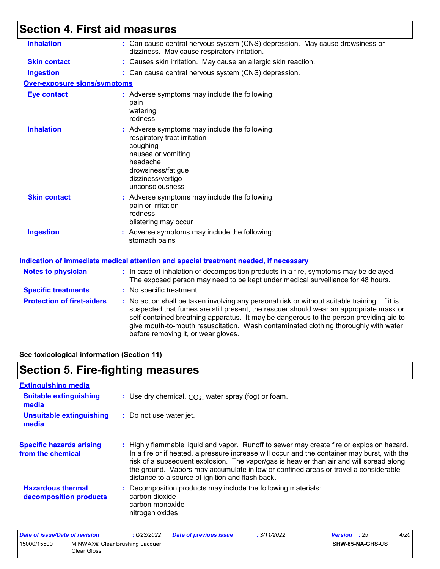## **Section 4. First aid measures**

| <b>Inhalation</b>                   | : Can cause central nervous system (CNS) depression. May cause drowsiness or<br>dizziness. May cause respiratory irritation.                                                                                                                                                                                                                                                                                    |
|-------------------------------------|-----------------------------------------------------------------------------------------------------------------------------------------------------------------------------------------------------------------------------------------------------------------------------------------------------------------------------------------------------------------------------------------------------------------|
| <b>Skin contact</b>                 | : Causes skin irritation. May cause an allergic skin reaction.                                                                                                                                                                                                                                                                                                                                                  |
| <b>Ingestion</b>                    | : Can cause central nervous system (CNS) depression.                                                                                                                                                                                                                                                                                                                                                            |
| <b>Over-exposure signs/symptoms</b> |                                                                                                                                                                                                                                                                                                                                                                                                                 |
| <b>Eye contact</b>                  | : Adverse symptoms may include the following:<br>pain<br>watering<br>redness                                                                                                                                                                                                                                                                                                                                    |
| <b>Inhalation</b>                   | : Adverse symptoms may include the following:<br>respiratory tract irritation<br>coughing<br>nausea or vomiting<br>headache<br>drowsiness/fatigue<br>dizziness/vertigo<br>unconsciousness                                                                                                                                                                                                                       |
| <b>Skin contact</b>                 | : Adverse symptoms may include the following:<br>pain or irritation<br>redness<br>blistering may occur                                                                                                                                                                                                                                                                                                          |
| <b>Ingestion</b>                    | : Adverse symptoms may include the following:<br>stomach pains                                                                                                                                                                                                                                                                                                                                                  |
|                                     | Indication of immediate medical attention and special treatment needed, if necessary                                                                                                                                                                                                                                                                                                                            |
| <b>Notes to physician</b>           | : In case of inhalation of decomposition products in a fire, symptoms may be delayed.<br>The exposed person may need to be kept under medical surveillance for 48 hours.                                                                                                                                                                                                                                        |
| <b>Specific treatments</b>          | : No specific treatment.                                                                                                                                                                                                                                                                                                                                                                                        |
| <b>Protection of first-aiders</b>   | : No action shall be taken involving any personal risk or without suitable training. If it is<br>suspected that fumes are still present, the rescuer should wear an appropriate mask or<br>self-contained breathing apparatus. It may be dangerous to the person providing aid to<br>give mouth-to-mouth resuscitation. Wash contaminated clothing thoroughly with water<br>before removing it, or wear gloves. |
|                                     |                                                                                                                                                                                                                                                                                                                                                                                                                 |

**See toxicological information (Section 11)**

## **Section 5. Fire-fighting measures**

| : Use dry chemical, $CO2$ , water spray (fog) or foam.                                                                                                                                                                                                                                                                                                                                                                          |
|---------------------------------------------------------------------------------------------------------------------------------------------------------------------------------------------------------------------------------------------------------------------------------------------------------------------------------------------------------------------------------------------------------------------------------|
| : Do not use water jet.                                                                                                                                                                                                                                                                                                                                                                                                         |
| : Highly flammable liquid and vapor. Runoff to sewer may create fire or explosion hazard.<br>In a fire or if heated, a pressure increase will occur and the container may burst, with the<br>risk of a subsequent explosion. The vapor/gas is heavier than air and will spread along<br>the ground. Vapors may accumulate in low or confined areas or travel a considerable<br>distance to a source of ignition and flash back. |
| : Decomposition products may include the following materials:<br>carbon dioxide<br>carbon monoxide<br>nitrogen oxides                                                                                                                                                                                                                                                                                                           |
|                                                                                                                                                                                                                                                                                                                                                                                                                                 |

| Date of issue/Date of revision |                                               | 6/23/2022 | Date of previous issue | : 3/11/2022 | <b>Version</b> : 25 |                  | 4/20 |
|--------------------------------|-----------------------------------------------|-----------|------------------------|-------------|---------------------|------------------|------|
| 15000/15500                    | MINWAX® Clear Brushing Lacquer<br>Clear Gloss |           |                        |             |                     | SHW-85-NA-GHS-US |      |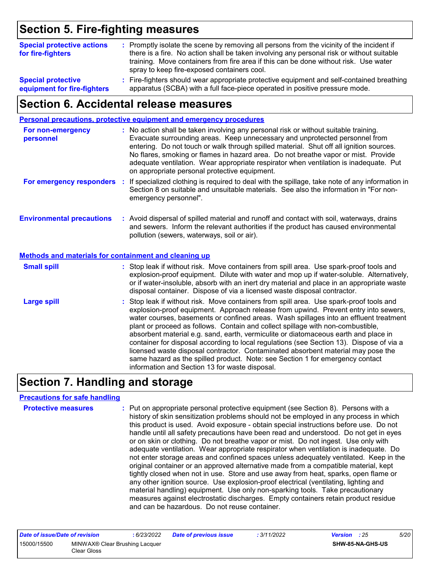### **Section 5. Fire-fighting measures**

| <b>Special protective actions</b><br>for fire-fighters   | : Promptly isolate the scene by removing all persons from the vicinity of the incident if<br>there is a fire. No action shall be taken involving any personal risk or without suitable<br>training. Move containers from fire area if this can be done without risk. Use water<br>spray to keep fire-exposed containers cool. |  |
|----------------------------------------------------------|-------------------------------------------------------------------------------------------------------------------------------------------------------------------------------------------------------------------------------------------------------------------------------------------------------------------------------|--|
| <b>Special protective</b><br>equipment for fire-fighters | : Fire-fighters should wear appropriate protective equipment and self-contained breathing<br>apparatus (SCBA) with a full face-piece operated in positive pressure mode.                                                                                                                                                      |  |

### **Section 6. Accidental release measures**

|                                                              | <b>Personal precautions, protective equipment and emergency procedures</b>                                                                                                                                                                                                                                                                                                                                                                                                                                                                                                                                                                                                                                                                                           |
|--------------------------------------------------------------|----------------------------------------------------------------------------------------------------------------------------------------------------------------------------------------------------------------------------------------------------------------------------------------------------------------------------------------------------------------------------------------------------------------------------------------------------------------------------------------------------------------------------------------------------------------------------------------------------------------------------------------------------------------------------------------------------------------------------------------------------------------------|
| For non-emergency<br>personnel                               | : No action shall be taken involving any personal risk or without suitable training.<br>Evacuate surrounding areas. Keep unnecessary and unprotected personnel from<br>entering. Do not touch or walk through spilled material. Shut off all ignition sources.<br>No flares, smoking or flames in hazard area. Do not breathe vapor or mist. Provide<br>adequate ventilation. Wear appropriate respirator when ventilation is inadequate. Put<br>on appropriate personal protective equipment.                                                                                                                                                                                                                                                                       |
| For emergency responders                                     | : If specialized clothing is required to deal with the spillage, take note of any information in<br>Section 8 on suitable and unsuitable materials. See also the information in "For non-<br>emergency personnel".                                                                                                                                                                                                                                                                                                                                                                                                                                                                                                                                                   |
| <b>Environmental precautions</b>                             | : Avoid dispersal of spilled material and runoff and contact with soil, waterways, drains<br>and sewers. Inform the relevant authorities if the product has caused environmental<br>pollution (sewers, waterways, soil or air).                                                                                                                                                                                                                                                                                                                                                                                                                                                                                                                                      |
| <b>Methods and materials for containment and cleaning up</b> |                                                                                                                                                                                                                                                                                                                                                                                                                                                                                                                                                                                                                                                                                                                                                                      |
| <b>Small spill</b>                                           | : Stop leak if without risk. Move containers from spill area. Use spark-proof tools and<br>explosion-proof equipment. Dilute with water and mop up if water-soluble. Alternatively,<br>or if water-insoluble, absorb with an inert dry material and place in an appropriate waste<br>disposal container. Dispose of via a licensed waste disposal contractor.                                                                                                                                                                                                                                                                                                                                                                                                        |
| <b>Large spill</b>                                           | : Stop leak if without risk. Move containers from spill area. Use spark-proof tools and<br>explosion-proof equipment. Approach release from upwind. Prevent entry into sewers,<br>water courses, basements or confined areas. Wash spillages into an effluent treatment<br>plant or proceed as follows. Contain and collect spillage with non-combustible,<br>absorbent material e.g. sand, earth, vermiculite or diatomaceous earth and place in<br>container for disposal according to local regulations (see Section 13). Dispose of via a<br>licensed waste disposal contractor. Contaminated absorbent material may pose the<br>same hazard as the spilled product. Note: see Section 1 for emergency contact<br>information and Section 13 for waste disposal. |

### **Section 7. Handling and storage**

#### **Precautions for safe handling**

| <b>Protective measures</b> | : Put on appropriate personal protective equipment (see Section 8). Persons with a<br>history of skin sensitization problems should not be employed in any process in which<br>this product is used. Avoid exposure - obtain special instructions before use. Do not<br>handle until all safety precautions have been read and understood. Do not get in eyes<br>or on skin or clothing. Do not breathe vapor or mist. Do not ingest. Use only with<br>adequate ventilation. Wear appropriate respirator when ventilation is inadequate. Do<br>not enter storage areas and confined spaces unless adequately ventilated. Keep in the<br>original container or an approved alternative made from a compatible material, kept<br>tightly closed when not in use. Store and use away from heat, sparks, open flame or<br>any other ignition source. Use explosion-proof electrical (ventilating, lighting and<br>material handling) equipment. Use only non-sparking tools. Take precautionary<br>measures against electrostatic discharges. Empty containers retain product residue |
|----------------------------|-----------------------------------------------------------------------------------------------------------------------------------------------------------------------------------------------------------------------------------------------------------------------------------------------------------------------------------------------------------------------------------------------------------------------------------------------------------------------------------------------------------------------------------------------------------------------------------------------------------------------------------------------------------------------------------------------------------------------------------------------------------------------------------------------------------------------------------------------------------------------------------------------------------------------------------------------------------------------------------------------------------------------------------------------------------------------------------|
|                            | and can be hazardous. Do not reuse container.                                                                                                                                                                                                                                                                                                                                                                                                                                                                                                                                                                                                                                                                                                                                                                                                                                                                                                                                                                                                                                     |

| Date of issue/Date of revision                               |  | 6/23/2022 | <b>Date of previous issue</b> | : 3/11/2022 | <b>Version</b> : 25 |  | 5/20 |
|--------------------------------------------------------------|--|-----------|-------------------------------|-------------|---------------------|--|------|
| 15000/15500<br>MINWAX® Clear Brushing Lacquer<br>Clear Gloss |  |           |                               |             | SHW-85-NA-GHS-US    |  |      |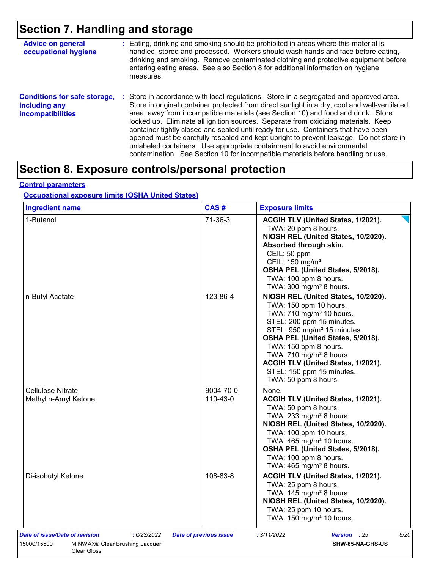## **Section 7. Handling and storage**

| <b>Advice on general</b><br>occupational hygiene                                 | : Eating, drinking and smoking should be prohibited in areas where this material is<br>handled, stored and processed. Workers should wash hands and face before eating,<br>drinking and smoking. Remove contaminated clothing and protective equipment before<br>entering eating areas. See also Section 8 for additional information on hygiene<br>measures.                                                                                                                                                                                                                                                                                                                                                      |
|----------------------------------------------------------------------------------|--------------------------------------------------------------------------------------------------------------------------------------------------------------------------------------------------------------------------------------------------------------------------------------------------------------------------------------------------------------------------------------------------------------------------------------------------------------------------------------------------------------------------------------------------------------------------------------------------------------------------------------------------------------------------------------------------------------------|
| <b>Conditions for safe storage,</b><br>including any<br><b>incompatibilities</b> | : Store in accordance with local regulations. Store in a segregated and approved area.<br>Store in original container protected from direct sunlight in a dry, cool and well-ventilated<br>area, away from incompatible materials (see Section 10) and food and drink. Store<br>locked up. Eliminate all ignition sources. Separate from oxidizing materials. Keep<br>container tightly closed and sealed until ready for use. Containers that have been<br>opened must be carefully resealed and kept upright to prevent leakage. Do not store in<br>unlabeled containers. Use appropriate containment to avoid environmental<br>contamination. See Section 10 for incompatible materials before handling or use. |

### **Section 8. Exposure controls/personal protection**

### **Control parameters**

### **Occupational exposure limits (OSHA United States)**

| 1-Butanol<br>n-Butyl Acetate                                                          | $71-36-3$             | ACGIH TLV (United States, 1/2021).<br>TWA: 20 ppm 8 hours.<br>NIOSH REL (United States, 10/2020).<br>Absorbed through skin.<br>CEIL: 50 ppm<br>CEIL: 150 mg/m <sup>3</sup><br>OSHA PEL (United States, 5/2018).<br>TWA: 100 ppm 8 hours.<br>TWA: $300 \text{ mg/m}^3$ 8 hours.                                                                                                |
|---------------------------------------------------------------------------------------|-----------------------|-------------------------------------------------------------------------------------------------------------------------------------------------------------------------------------------------------------------------------------------------------------------------------------------------------------------------------------------------------------------------------|
|                                                                                       |                       |                                                                                                                                                                                                                                                                                                                                                                               |
|                                                                                       | 123-86-4              | NIOSH REL (United States, 10/2020).<br>TWA: 150 ppm 10 hours.<br>TWA: 710 mg/m <sup>3</sup> 10 hours.<br>STEL: 200 ppm 15 minutes.<br>STEL: 950 mg/m <sup>3</sup> 15 minutes.<br>OSHA PEL (United States, 5/2018).<br>TWA: 150 ppm 8 hours.<br>TWA: 710 mg/m <sup>3</sup> 8 hours.<br>ACGIH TLV (United States, 1/2021).<br>STEL: 150 ppm 15 minutes.<br>TWA: 50 ppm 8 hours. |
| Cellulose Nitrate<br>Methyl n-Amyl Ketone                                             | 9004-70-0<br>110-43-0 | None.<br>ACGIH TLV (United States, 1/2021).<br>TWA: 50 ppm 8 hours.<br>TWA: $233$ mg/m <sup>3</sup> 8 hours.<br>NIOSH REL (United States, 10/2020).<br>TWA: 100 ppm 10 hours.<br>TWA: 465 mg/m <sup>3</sup> 10 hours.<br>OSHA PEL (United States, 5/2018).<br>TWA: 100 ppm 8 hours.<br>TWA: 465 mg/m <sup>3</sup> 8 hours.                                                    |
| Di-isobutyl Ketone                                                                    | 108-83-8              | ACGIH TLV (United States, 1/2021).<br>TWA: 25 ppm 8 hours.<br>TWA: $145 \text{ mg/m}^3$ 8 hours.<br>NIOSH REL (United States, 10/2020).<br>TWA: 25 ppm 10 hours.<br>TWA: 150 mg/m <sup>3</sup> 10 hours.                                                                                                                                                                      |
| <b>Date of issue/Date of revision</b><br>: 6/23/2022<br><b>Date of previous issue</b> |                       | : 3/11/2022<br>Version : 25<br>6/20                                                                                                                                                                                                                                                                                                                                           |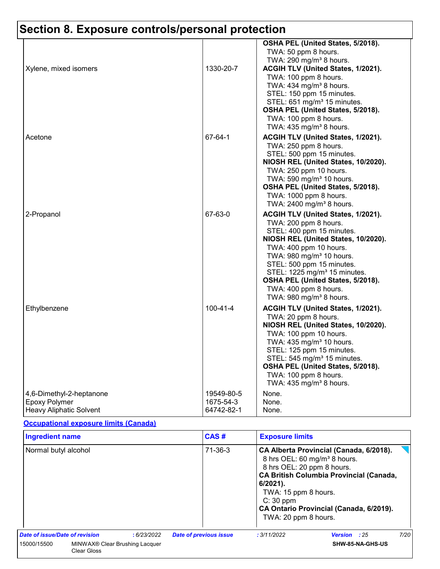|                                                  |                | OSHA PEL (United States, 5/2018).                                            |
|--------------------------------------------------|----------------|------------------------------------------------------------------------------|
|                                                  |                | TWA: 50 ppm 8 hours.                                                         |
|                                                  |                | TWA: 290 mg/m <sup>3</sup> 8 hours.                                          |
| Xylene, mixed isomers                            | 1330-20-7      | ACGIH TLV (United States, 1/2021).                                           |
|                                                  |                | TWA: 100 ppm 8 hours.                                                        |
|                                                  |                | TWA: 434 mg/m <sup>3</sup> 8 hours.                                          |
|                                                  |                | STEL: 150 ppm 15 minutes.                                                    |
|                                                  |                | STEL: 651 mg/m <sup>3</sup> 15 minutes.                                      |
|                                                  |                | OSHA PEL (United States, 5/2018).                                            |
|                                                  |                | TWA: 100 ppm 8 hours.                                                        |
|                                                  |                | TWA: 435 mg/m <sup>3</sup> 8 hours.                                          |
| Acetone                                          | 67-64-1        | ACGIH TLV (United States, 1/2021).                                           |
|                                                  |                | TWA: 250 ppm 8 hours.                                                        |
|                                                  |                | STEL: 500 ppm 15 minutes.                                                    |
|                                                  |                | NIOSH REL (United States, 10/2020).                                          |
|                                                  |                | TWA: 250 ppm 10 hours.                                                       |
|                                                  |                | TWA: 590 mg/m <sup>3</sup> 10 hours.                                         |
|                                                  |                | OSHA PEL (United States, 5/2018).                                            |
|                                                  |                | TWA: 1000 ppm 8 hours.                                                       |
|                                                  |                | TWA: 2400 mg/m <sup>3</sup> 8 hours.                                         |
| 2-Propanol                                       | 67-63-0        | ACGIH TLV (United States, 1/2021).                                           |
|                                                  |                | TWA: 200 ppm 8 hours.                                                        |
|                                                  |                | STEL: 400 ppm 15 minutes.                                                    |
|                                                  |                | NIOSH REL (United States, 10/2020).                                          |
|                                                  |                | TWA: 400 ppm 10 hours.                                                       |
|                                                  |                | TWA: 980 mg/m <sup>3</sup> 10 hours.                                         |
|                                                  |                | STEL: 500 ppm 15 minutes.                                                    |
|                                                  |                | STEL: 1225 mg/m <sup>3</sup> 15 minutes.                                     |
|                                                  |                | OSHA PEL (United States, 5/2018).                                            |
|                                                  |                | TWA: 400 ppm 8 hours.                                                        |
|                                                  |                | TWA: 980 mg/m <sup>3</sup> 8 hours.                                          |
| Ethylbenzene                                     | $100 - 41 - 4$ | ACGIH TLV (United States, 1/2021).                                           |
|                                                  |                | TWA: 20 ppm 8 hours.                                                         |
|                                                  |                | NIOSH REL (United States, 10/2020).                                          |
|                                                  |                | TWA: 100 ppm 10 hours.                                                       |
|                                                  |                | TWA: 435 mg/m <sup>3</sup> 10 hours.                                         |
|                                                  |                | STEL: 125 ppm 15 minutes.                                                    |
|                                                  |                | STEL: 545 mg/m <sup>3</sup> 15 minutes.<br>OSHA PEL (United States, 5/2018). |
|                                                  |                | TWA: 100 ppm 8 hours.                                                        |
|                                                  |                | TWA: 435 mg/m <sup>3</sup> 8 hours.                                          |
|                                                  | 19549-80-5     | None.                                                                        |
| 4,6-Dimethyl-2-heptanone<br><b>Epoxy Polymer</b> | 1675-54-3      | None.                                                                        |
| <b>Heavy Aliphatic Solvent</b>                   | 64742-82-1     | None.                                                                        |
|                                                  |                |                                                                              |

#### **Occupational exposure limits (Canada)**

| <b>Ingredient name</b>         |                                                                  |               | CAS#                                                                                                    | <b>Exposure limits</b>                                                                                                                                                           |                     |      |  |
|--------------------------------|------------------------------------------------------------------|---------------|---------------------------------------------------------------------------------------------------------|----------------------------------------------------------------------------------------------------------------------------------------------------------------------------------|---------------------|------|--|
| Normal butyl alcohol           |                                                                  | $71 - 36 - 3$ | 8 hrs OEL: 20 ppm 8 hours.<br>$6/2021$ .<br>TWA: 15 ppm 8 hours.<br>$C: 30$ ppm<br>TWA: 20 ppm 8 hours. | CA Alberta Provincial (Canada, 6/2018).<br>8 hrs OEL: 60 mg/m <sup>3</sup> 8 hours.<br><b>CA British Columbia Provincial (Canada,</b><br>CA Ontario Provincial (Canada, 6/2019). |                     |      |  |
| Date of issue/Date of revision |                                                                  | :6/23/2022    | <b>Date of previous issue</b>                                                                           | : 3/11/2022                                                                                                                                                                      | <b>Version</b> : 25 | 7/20 |  |
| 15000/15500                    | MINWAX <sup>®</sup> Clear Brushing Lacquer<br><b>Clear Gloss</b> |               |                                                                                                         |                                                                                                                                                                                  | SHW-85-NA-GHS-US    |      |  |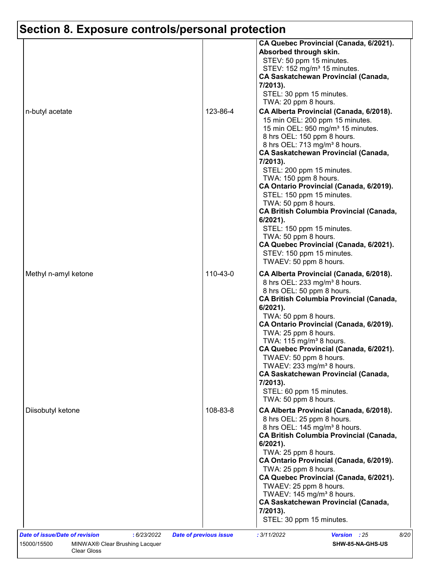| n-butyl acetate      | 123-86-4 | CA Quebec Provincial (Canada, 6/2021).<br>Absorbed through skin.<br>STEV: 50 ppm 15 minutes.<br>STEV: 152 mg/m <sup>3</sup> 15 minutes.<br><b>CA Saskatchewan Provincial (Canada,</b><br>7/2013).<br>STEL: 30 ppm 15 minutes.<br>TWA: 20 ppm 8 hours.<br>CA Alberta Provincial (Canada, 6/2018).<br>15 min OEL: 200 ppm 15 minutes.<br>15 min OEL: 950 mg/m <sup>3</sup> 15 minutes.<br>8 hrs OEL: 150 ppm 8 hours.<br>8 hrs OEL: 713 mg/m <sup>3</sup> 8 hours.<br><b>CA Saskatchewan Provincial (Canada,</b><br>7/2013).<br>STEL: 200 ppm 15 minutes.<br>TWA: 150 ppm 8 hours.<br>CA Ontario Provincial (Canada, 6/2019). |
|----------------------|----------|-----------------------------------------------------------------------------------------------------------------------------------------------------------------------------------------------------------------------------------------------------------------------------------------------------------------------------------------------------------------------------------------------------------------------------------------------------------------------------------------------------------------------------------------------------------------------------------------------------------------------------|
|                      |          | STEL: 150 ppm 15 minutes.<br>TWA: 50 ppm 8 hours.<br><b>CA British Columbia Provincial (Canada,</b><br>6/2021).<br>STEL: 150 ppm 15 minutes.<br>TWA: 50 ppm 8 hours.<br>CA Quebec Provincial (Canada, 6/2021).<br>STEV: 150 ppm 15 minutes.<br>TWAEV: 50 ppm 8 hours.                                                                                                                                                                                                                                                                                                                                                       |
| Methyl n-amyl ketone | 110-43-0 | CA Alberta Provincial (Canada, 6/2018).<br>8 hrs OEL: 233 mg/m <sup>3</sup> 8 hours.<br>8 hrs OEL: 50 ppm 8 hours.<br><b>CA British Columbia Provincial (Canada,</b><br>$6/2021$ ).<br>TWA: 50 ppm 8 hours.<br>CA Ontario Provincial (Canada, 6/2019).<br>TWA: 25 ppm 8 hours.<br>TWA: $115 \text{ mg/m}^3$ 8 hours.<br>CA Quebec Provincial (Canada, 6/2021).<br>TWAEV: 50 ppm 8 hours.<br>TWAEV: 233 mg/m <sup>3</sup> 8 hours.<br><b>CA Saskatchewan Provincial (Canada,</b><br>7/2013).<br>STEL: 60 ppm 15 minutes.<br>TWA: 50 ppm 8 hours.                                                                             |
| Diisobutyl ketone    | 108-83-8 | CA Alberta Provincial (Canada, 6/2018).<br>8 hrs OEL: 25 ppm 8 hours.<br>8 hrs OEL: 145 mg/m <sup>3</sup> 8 hours.<br><b>CA British Columbia Provincial (Canada,</b><br>$6/2021$ ).<br>TWA: 25 ppm 8 hours.<br>CA Ontario Provincial (Canada, 6/2019).<br>TWA: 25 ppm 8 hours.<br>CA Quebec Provincial (Canada, 6/2021).<br>TWAEV: 25 ppm 8 hours.<br>TWAEV: 145 mg/m <sup>3</sup> 8 hours.<br><b>CA Saskatchewan Provincial (Canada,</b><br>7/2013).<br>STEL: 30 ppm 15 minutes.                                                                                                                                           |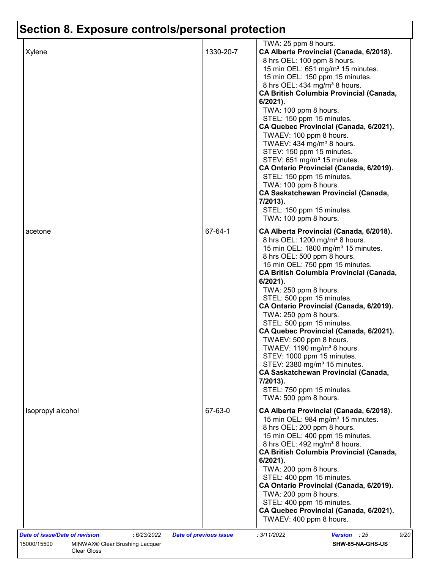|                                               |                               | TWA: 25 ppm 8 hours.                                                                                                                                                                                                                                                                                                                                                                                                                                                                                                                                                                                                                                                                                                                       |
|-----------------------------------------------|-------------------------------|--------------------------------------------------------------------------------------------------------------------------------------------------------------------------------------------------------------------------------------------------------------------------------------------------------------------------------------------------------------------------------------------------------------------------------------------------------------------------------------------------------------------------------------------------------------------------------------------------------------------------------------------------------------------------------------------------------------------------------------------|
| Xylene                                        | 1330-20-7                     | CA Alberta Provincial (Canada, 6/2018).<br>8 hrs OEL: 100 ppm 8 hours.<br>15 min OEL: 651 mg/m <sup>3</sup> 15 minutes.<br>15 min OEL: 150 ppm 15 minutes.<br>8 hrs OEL: 434 mg/m <sup>3</sup> 8 hours.<br><b>CA British Columbia Provincial (Canada,</b><br>6/2021).<br>TWA: 100 ppm 8 hours.<br>STEL: 150 ppm 15 minutes.<br>CA Quebec Provincial (Canada, 6/2021).<br>TWAEV: 100 ppm 8 hours.<br>TWAEV: 434 mg/m <sup>3</sup> 8 hours.<br>STEV: 150 ppm 15 minutes.<br>STEV: 651 mg/m <sup>3</sup> 15 minutes.<br>CA Ontario Provincial (Canada, 6/2019).<br>STEL: 150 ppm 15 minutes.<br>TWA: 100 ppm 8 hours.<br><b>CA Saskatchewan Provincial (Canada,</b><br>7/2013).<br>STEL: 150 ppm 15 minutes.<br>TWA: 100 ppm 8 hours.         |
| acetone                                       | 67-64-1                       | CA Alberta Provincial (Canada, 6/2018).<br>8 hrs OEL: 1200 mg/m <sup>3</sup> 8 hours.<br>15 min OEL: 1800 mg/m <sup>3</sup> 15 minutes.<br>8 hrs OEL: 500 ppm 8 hours.<br>15 min OEL: 750 ppm 15 minutes.<br><b>CA British Columbia Provincial (Canada,</b><br>$6/2021$ ).<br>TWA: 250 ppm 8 hours.<br>STEL: 500 ppm 15 minutes.<br>CA Ontario Provincial (Canada, 6/2019).<br>TWA: 250 ppm 8 hours.<br>STEL: 500 ppm 15 minutes.<br>CA Quebec Provincial (Canada, 6/2021).<br>TWAEV: 500 ppm 8 hours.<br>TWAEV: 1190 mg/m <sup>3</sup> 8 hours.<br>STEV: 1000 ppm 15 minutes.<br>STEV: 2380 mg/m <sup>3</sup> 15 minutes.<br><b>CA Saskatchewan Provincial (Canada,</b><br>7/2013).<br>STEL: 750 ppm 15 minutes.<br>TWA: 500 ppm 8 hours. |
| Isopropyl alcohol                             | 67-63-0                       | CA Alberta Provincial (Canada, 6/2018).<br>15 min OEL: 984 mg/m <sup>3</sup> 15 minutes.<br>8 hrs OEL: 200 ppm 8 hours.<br>15 min OEL: 400 ppm 15 minutes.<br>8 hrs OEL: 492 mg/m <sup>3</sup> 8 hours.<br><b>CA British Columbia Provincial (Canada,</b><br>6/2021).<br>TWA: 200 ppm 8 hours.<br>STEL: 400 ppm 15 minutes.<br>CA Ontario Provincial (Canada, 6/2019).<br>TWA: 200 ppm 8 hours.<br>STEL: 400 ppm 15 minutes.<br>CA Quebec Provincial (Canada, 6/2021).<br>TWAEV: 400 ppm 8 hours.                                                                                                                                                                                                                                          |
| Date of issue/Date of revision<br>: 6/23/2022 | <b>Date of previous issue</b> | 9/20<br>: 3/11/2022<br>Version : 25                                                                                                                                                                                                                                                                                                                                                                                                                                                                                                                                                                                                                                                                                                        |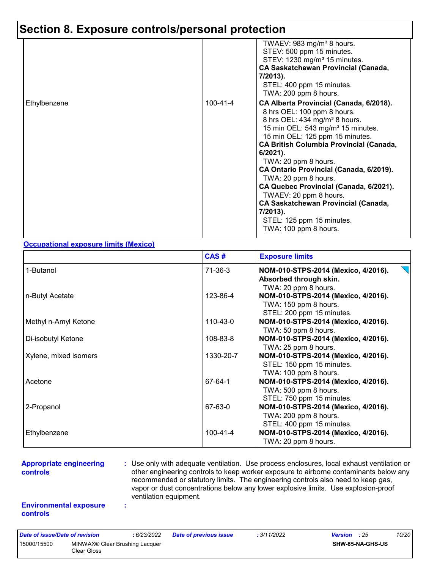|              |          | TWAEV: 983 mg/m <sup>3</sup> 8 hours.<br>STEV: 500 ppm 15 minutes.<br>STEV: 1230 mg/m <sup>3</sup> 15 minutes.<br><b>CA Saskatchewan Provincial (Canada,</b><br>7/2013).<br>STEL: 400 ppm 15 minutes.<br>TWA: 200 ppm 8 hours.                                                                                                                                                                                                                                                                                                                          |
|--------------|----------|---------------------------------------------------------------------------------------------------------------------------------------------------------------------------------------------------------------------------------------------------------------------------------------------------------------------------------------------------------------------------------------------------------------------------------------------------------------------------------------------------------------------------------------------------------|
| Ethylbenzene | 100-41-4 | CA Alberta Provincial (Canada, 6/2018).<br>8 hrs OEL: 100 ppm 8 hours.<br>8 hrs OEL: 434 mg/m <sup>3</sup> 8 hours.<br>15 min OEL: 543 mg/m <sup>3</sup> 15 minutes.<br>15 min OEL: 125 ppm 15 minutes.<br><b>CA British Columbia Provincial (Canada,</b><br>$6/2021$ ).<br>TWA: 20 ppm 8 hours.<br>CA Ontario Provincial (Canada, 6/2019).<br>TWA: 20 ppm 8 hours.<br>CA Quebec Provincial (Canada, 6/2021).<br>TWAEV: 20 ppm 8 hours.<br><b>CA Saskatchewan Provincial (Canada,</b><br>7/2013).<br>STEL: 125 ppm 15 minutes.<br>TWA: 100 ppm 8 hours. |

#### **Occupational exposure limits (Mexico)**

|                       | CAS#      | <b>Exposure limits</b>                                                                    |
|-----------------------|-----------|-------------------------------------------------------------------------------------------|
| 1-Butanol             | 71-36-3   | NOM-010-STPS-2014 (Mexico, 4/2016).<br>Absorbed through skin.<br>TWA: 20 ppm 8 hours.     |
| n-Butyl Acetate       | 123-86-4  | NOM-010-STPS-2014 (Mexico, 4/2016).<br>TWA: 150 ppm 8 hours.<br>STEL: 200 ppm 15 minutes. |
| Methyl n-Amyl Ketone  | 110-43-0  | NOM-010-STPS-2014 (Mexico, 4/2016).<br>TWA: 50 ppm 8 hours.                               |
| Di-isobutyl Ketone    | 108-83-8  | NOM-010-STPS-2014 (Mexico, 4/2016).<br>TWA: 25 ppm 8 hours.                               |
| Xylene, mixed isomers | 1330-20-7 | NOM-010-STPS-2014 (Mexico, 4/2016).<br>STEL: 150 ppm 15 minutes.<br>TWA: 100 ppm 8 hours. |
| Acetone               | 67-64-1   | NOM-010-STPS-2014 (Mexico, 4/2016).<br>TWA: 500 ppm 8 hours.<br>STEL: 750 ppm 15 minutes. |
| 2-Propanol            | 67-63-0   | NOM-010-STPS-2014 (Mexico, 4/2016).<br>TWA: 200 ppm 8 hours.<br>STEL: 400 ppm 15 minutes. |
| Ethylbenzene          | 100-41-4  | NOM-010-STPS-2014 (Mexico, 4/2016).<br>TWA: 20 ppm 8 hours.                               |

#### **Appropriate engineering controls**

**:** Use only with adequate ventilation. Use process enclosures, local exhaust ventilation or other engineering controls to keep worker exposure to airborne contaminants below any recommended or statutory limits. The engineering controls also need to keep gas, vapor or dust concentrations below any lower explosive limits. Use explosion-proof ventilation equipment.

#### **Environmental exposure controls**

**:**

| Date of issue/Date of revision                                           |  | : 6/23/2022 | <b>Date of previous issue</b> | : 3/11/2022 | <b>Version</b> : 25     |  | 10/20 |
|--------------------------------------------------------------------------|--|-------------|-------------------------------|-------------|-------------------------|--|-------|
| 15000/15500<br>MINWAX <sup>®</sup> Clear Brushing Lacquer<br>Clear Gloss |  |             |                               |             | <b>SHW-85-NA-GHS-US</b> |  |       |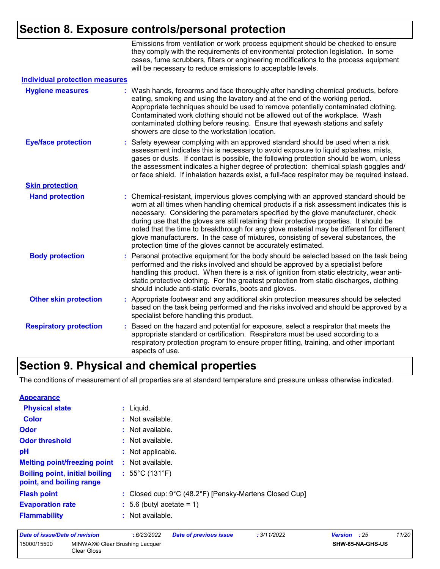Emissions from ventilation or work process equipment should be checked to ensure they comply with the requirements of environmental protection legislation. In some cases, fume scrubbers, filters or engineering modifications to the process equipment will be necessary to reduce emissions to acceptable levels.

| <b>Individual protection measures</b> |    |                                                                                                                                                                                                                                                                                                                                                                                                                                                                                                                                                                                                                        |
|---------------------------------------|----|------------------------------------------------------------------------------------------------------------------------------------------------------------------------------------------------------------------------------------------------------------------------------------------------------------------------------------------------------------------------------------------------------------------------------------------------------------------------------------------------------------------------------------------------------------------------------------------------------------------------|
| <b>Hygiene measures</b>               |    | Wash hands, forearms and face thoroughly after handling chemical products, before<br>eating, smoking and using the lavatory and at the end of the working period.<br>Appropriate techniques should be used to remove potentially contaminated clothing.<br>Contaminated work clothing should not be allowed out of the workplace. Wash<br>contaminated clothing before reusing. Ensure that eyewash stations and safety<br>showers are close to the workstation location.                                                                                                                                              |
| <b>Eye/face protection</b>            |    | : Safety eyewear complying with an approved standard should be used when a risk<br>assessment indicates this is necessary to avoid exposure to liquid splashes, mists,<br>gases or dusts. If contact is possible, the following protection should be worn, unless<br>the assessment indicates a higher degree of protection: chemical splash goggles and/<br>or face shield. If inhalation hazards exist, a full-face respirator may be required instead.                                                                                                                                                              |
| <b>Skin protection</b>                |    |                                                                                                                                                                                                                                                                                                                                                                                                                                                                                                                                                                                                                        |
| <b>Hand protection</b>                |    | : Chemical-resistant, impervious gloves complying with an approved standard should be<br>worn at all times when handling chemical products if a risk assessment indicates this is<br>necessary. Considering the parameters specified by the glove manufacturer, check<br>during use that the gloves are still retaining their protective properties. It should be<br>noted that the time to breakthrough for any glove material may be different for different<br>glove manufacturers. In the case of mixtures, consisting of several substances, the<br>protection time of the gloves cannot be accurately estimated. |
| <b>Body protection</b>                |    | : Personal protective equipment for the body should be selected based on the task being<br>performed and the risks involved and should be approved by a specialist before<br>handling this product. When there is a risk of ignition from static electricity, wear anti-<br>static protective clothing. For the greatest protection from static discharges, clothing<br>should include anti-static overalls, boots and gloves.                                                                                                                                                                                         |
| <b>Other skin protection</b>          |    | : Appropriate footwear and any additional skin protection measures should be selected<br>based on the task being performed and the risks involved and should be approved by a<br>specialist before handling this product.                                                                                                                                                                                                                                                                                                                                                                                              |
| <b>Respiratory protection</b>         | ÷. | Based on the hazard and potential for exposure, select a respirator that meets the<br>appropriate standard or certification. Respirators must be used according to a<br>respiratory protection program to ensure proper fitting, training, and other important<br>aspects of use.                                                                                                                                                                                                                                                                                                                                      |

### **Section 9. Physical and chemical properties**

The conditions of measurement of all properties are at standard temperature and pressure unless otherwise indicated.

| <b>Appearance</b>                                                 |                                                                             |
|-------------------------------------------------------------------|-----------------------------------------------------------------------------|
| <b>Physical state</b>                                             | $:$ Liquid.                                                                 |
| <b>Color</b>                                                      | : Not available.                                                            |
| Odor                                                              | : Not available.                                                            |
| <b>Odor threshold</b>                                             | $\cdot$ Not available.                                                      |
| pH                                                                | : Not applicable.                                                           |
| <b>Melting point/freezing point</b>                               | : Not available.                                                            |
| <b>Boiling point, initial boiling</b><br>point, and boiling range | $: 55^{\circ}$ C (131 $^{\circ}$ F)                                         |
| <b>Flash point</b>                                                | : Closed cup: $9^{\circ}$ C (48.2 $^{\circ}$ F) [Pensky-Martens Closed Cup] |
| <b>Evaporation rate</b>                                           | $\therefore$ 5.6 (butyl acetate = 1)                                        |
| <b>Flammability</b>                                               | $:$ Not available.                                                          |

| Date of issue/Date of revision |                                               | : 6/23/2022 | <b>Date of previous issue</b> | : 3/11/2022 | <b>Version</b> : 25 | 11/20 |
|--------------------------------|-----------------------------------------------|-------------|-------------------------------|-------------|---------------------|-------|
| 15000/15500                    | MINWAX® Clear Brushing Lacquer<br>Clear Gloss |             |                               |             | SHW-85-NA-GHS-US    |       |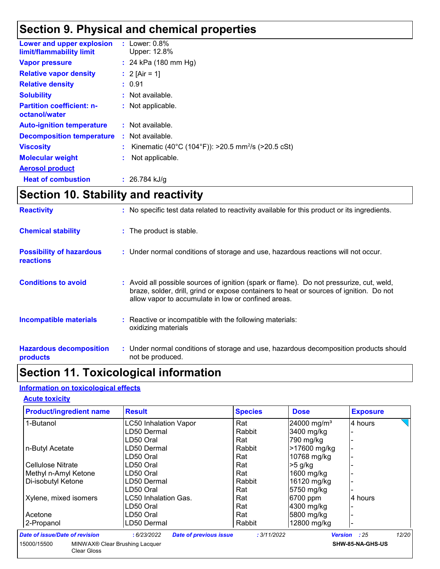### **Section 9. Physical and chemical properties**

| Lower and upper explosion<br>limit/flammability limit | : Lower: $0.8\%$<br>Upper: 12.8%                                 |
|-------------------------------------------------------|------------------------------------------------------------------|
| <b>Vapor pressure</b>                                 | : 24 kPa $(180 \text{ mm Hg})$                                   |
| <b>Relative vapor density</b>                         | : 2 [Air = 1]                                                    |
| <b>Relative density</b>                               | : 0.91                                                           |
| <b>Solubility</b>                                     | : Not available.                                                 |
| <b>Partition coefficient: n-</b><br>octanol/water     | : Not applicable.                                                |
| <b>Auto-ignition temperature</b>                      | : Not available.                                                 |
| <b>Decomposition temperature</b>                      | $:$ Not available.                                               |
| <b>Viscosity</b>                                      | : Kinematic (40°C (104°F)): >20.5 mm <sup>2</sup> /s (>20.5 cSt) |
| <b>Molecular weight</b>                               | Not applicable.                                                  |
| <b>Aerosol product</b>                                |                                                                  |
| <b>Heat of combustion</b>                             | $: 26.784$ kJ/g                                                  |

### **Section 10. Stability and reactivity**

| <b>Reactivity</b>                                   | : No specific test data related to reactivity available for this product or its ingredients.                                                                                                                                               |
|-----------------------------------------------------|--------------------------------------------------------------------------------------------------------------------------------------------------------------------------------------------------------------------------------------------|
| <b>Chemical stability</b>                           | : The product is stable.                                                                                                                                                                                                                   |
| <b>Possibility of hazardous</b><br><b>reactions</b> | : Under normal conditions of storage and use, hazardous reactions will not occur.                                                                                                                                                          |
| <b>Conditions to avoid</b>                          | : Avoid all possible sources of ignition (spark or flame). Do not pressurize, cut, weld,<br>braze, solder, drill, grind or expose containers to heat or sources of ignition. Do not<br>allow vapor to accumulate in low or confined areas. |
| <b>Incompatible materials</b>                       | : Reactive or incompatible with the following materials:<br>oxidizing materials                                                                                                                                                            |
| <b>Hazardous decomposition</b><br>products          | : Under normal conditions of storage and use, hazardous decomposition products should<br>not be produced.                                                                                                                                  |

### **Section 11. Toxicological information**

#### **Information on toxicological effects**

Clear Gloss

#### **Acute toxicity**

| <b>Product/ingredient name</b>                | <b>Result</b>                                | <b>Species</b> | <b>Dose</b>             | <b>Exposure</b>  |
|-----------------------------------------------|----------------------------------------------|----------------|-------------------------|------------------|
| 1-Butanol                                     | <b>LC50 Inhalation Vapor</b>                 | Rat            | 24000 mg/m <sup>3</sup> | 4 hours          |
|                                               | LD50 Dermal                                  | Rabbit         | 3400 mg/kg              |                  |
|                                               | LD50 Oral                                    | Rat            | 790 mg/kg               |                  |
| n-Butyl Acetate                               | LD50 Dermal                                  | Rabbit         | >17600 mg/kg            |                  |
|                                               | LD50 Oral                                    | Rat            | 10768 mg/kg             |                  |
| Cellulose Nitrate                             | LD50 Oral                                    | Rat            | $>5$ g/kg               |                  |
| Methyl n-Amyl Ketone                          | LD50 Oral                                    | Rat            | $1600$ mg/kg            |                  |
| Di-isobutyl Ketone                            | LD50 Dermal                                  | Rabbit         | 16120 mg/kg             |                  |
|                                               | LD50 Oral                                    | Rat            | 5750 mg/kg              |                  |
| Xylene, mixed isomers                         | LC50 Inhalation Gas.                         | Rat            | 6700 ppm                | 4 hours          |
|                                               | LD50 Oral                                    | Rat            | 4300 mg/kg              |                  |
| Acetone                                       | LD50 Oral                                    | Rat            | 5800 mg/kg              |                  |
| 2-Propanol                                    | LD50 Dermal                                  | Rabbit         | 12800 mg/kg             |                  |
| <b>Date of issue/Date of revision</b>         | : 6/23/2022<br><b>Date of previous issue</b> | : 3/11/2022    | <b>Version</b>          | 12/20<br>: 25    |
| MINWAX® Clear Brushing Lacquer<br>15000/15500 |                                              |                |                         | SHW-85-NA-GHS-US |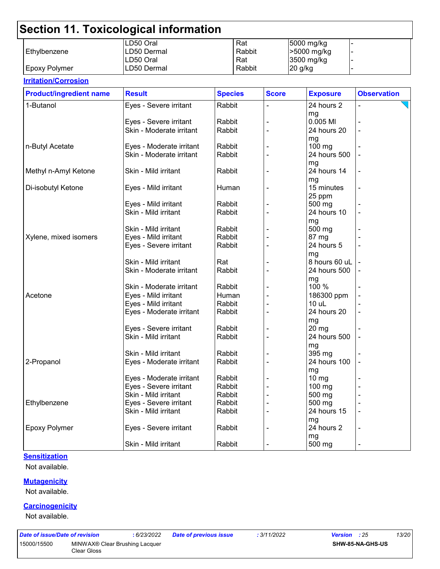|                      | LD50 Oral   | Rat    | 5000 mg/kg  |  |
|----------------------|-------------|--------|-------------|--|
| l Ethvlbenzene       | LD50 Dermal | Rabbit | -5000 mg/kg |  |
|                      | LD50 Oral   | Rat    | 3500 mg/kg  |  |
| <b>Epoxy Polymer</b> | LD50 Dermal | Rabbit | 20 g/kg     |  |

#### **Irritation/Corrosion** 1-Butanol **Eyes - Severe irritant** Rabbit |- 24 hours 2 mg - Eyes - Severe irritant Rabbit - 0.005 Ml - Skin - Moderate irritant mg<br>100 ma n-Butyl Acetate Eyes - Moderate irritant Rabbit - 100 mg - Skin - Moderate irritant mg - Methyl n-Amyl Ketone  $\vert$ Skin - Mild irritant  $\vert$ Rabbit  $\vert$  - 24 hours 14 mg - Di-isobutyl Ketone Eyes - Mild irritant Human - 15 minutes 25 ppm - Eyes - Mild irritant  $\vert$  Rabbit  $\vert$  -  $\vert$  -  $\vert$  500 mg Skin - Mild irritant  $\vert$ Rabbit  $\vert$  -  $\vert$  24 hours 10 mg - Skin - Mild irritant  $|R$ Rabbit  $|$  -  $|$  500 mg  $X$ ylene, mixed isomers  $\qquad$  Eyes - Mild irritant  $\qquad$  Rabbit  $\qquad$  - 87 mg Eyes - Severe irritant Rabbit - 24 hours 5 mg - Skin - Mild irritant - Rat - Rat - 8 hours 60 uL Skin - Moderate irritant | Rabbit | - | 24 hours 500 mg<br>100 % - Skin - Moderate irritant - 1 Rabbit Acetone Eyes - Mild irritant Human - 186300 ppm - Eyes - Mild irritant Rabbit - 10 uL - Eyes - Moderate irritant  $\begin{array}{|c|c|c|c|c|c|}\n\hline\n\end{array}$  Rabbit  $\begin{array}{|c|c|c|c|c|c|c|c|}\n\hline\n\end{array}$  24 hours 20 mg<br>20 mg - Eyes - Severe irritant | Rabbit Skin - Mild irritant  $\vert$  Rabbit  $\vert$  -  $\vert$  24 hours 500 mg - Skin - Mild irritant - Rabbit - 1. 1395 mg 2-Propanol Eyes - Moderate irritant Rabbit - 24 hours 100 mg - Eyes - Moderate irritant | Rabbit | - 10 mg Eyes - Severe irritant | Rabbit | - 100 mg Skin - Mild irritant  $\vert$ Rabbit  $\vert$  -  $\vert$  500 mg Ethylbenzene Eyes - Severe irritant Rabbit - 500 mg - Skin - Mild irritant  $\vert$  Rabbit  $\vert$  -  $\vert$  24 hours 15 mg - Epoxy Polymer **Exercity** Experiment Exercise irritant Rabbit  $\vert$  - 24 hours 2 mg - Skin - Mild irritant  $\vert$  Rabbit  $\vert$  -  $\vert$  - 500 mg **Product/ingredient name** Result **Result All Species** Score **Exposure** Observation **Species**

#### **Sensitization**

Not available.

#### **Mutagenicity**

Not available.

#### **Carcinogenicity**

Not available.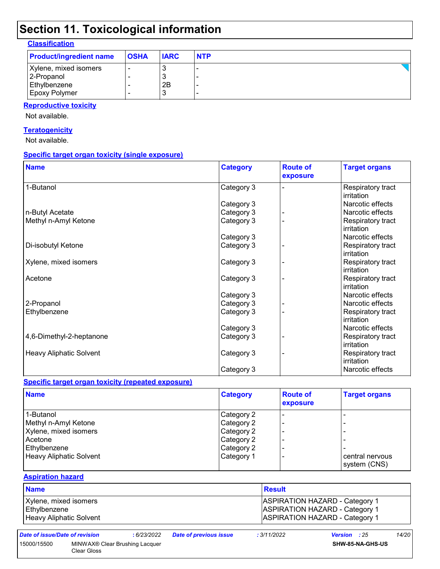| <b>Classification</b> |
|-----------------------|
|-----------------------|

| <b>Product/ingredient name</b> | <b>OSHA</b> | <b>IARC</b> | <b>NTP</b> |
|--------------------------------|-------------|-------------|------------|
| Xylene, mixed isomers          |             |             |            |
| 2-Propanol                     |             |             |            |
| Ethylbenzene                   |             | 2B          |            |
| Epoxy Polymer                  |             |             |            |

#### **Reproductive toxicity**

Not available.

#### **Teratogenicity**

Not available.

#### **Specific target organ toxicity (single exposure)**

| <b>Name</b>                    | <b>Category</b> | <b>Route of</b><br>exposure | <b>Target organs</b>            |
|--------------------------------|-----------------|-----------------------------|---------------------------------|
| 1-Butanol                      | Category 3      |                             | Respiratory tract<br>irritation |
|                                | Category 3      |                             | Narcotic effects                |
| n-Butyl Acetate                | Category 3      |                             | Narcotic effects                |
| Methyl n-Amyl Ketone           | Category 3      |                             | Respiratory tract<br>irritation |
|                                | Category 3      |                             | Narcotic effects                |
| Di-isobutyl Ketone             | Category 3      |                             | Respiratory tract<br>irritation |
| Xylene, mixed isomers          | Category 3      |                             | Respiratory tract<br>irritation |
| Acetone                        | Category 3      |                             | Respiratory tract<br>irritation |
|                                | Category 3      |                             | Narcotic effects                |
| 2-Propanol                     | Category 3      |                             | Narcotic effects                |
| Ethylbenzene                   | Category 3      |                             | Respiratory tract<br>irritation |
|                                | Category 3      |                             | Narcotic effects                |
| 4,6-Dimethyl-2-heptanone       | Category 3      |                             | Respiratory tract<br>irritation |
| <b>Heavy Aliphatic Solvent</b> | Category 3      |                             | Respiratory tract<br>irritation |
|                                | Category 3      |                             | Narcotic effects                |

#### **Specific target organ toxicity (repeated exposure)**

| <b>Name</b>             | <b>Category</b> | <b>Route of</b><br>exposure | <b>Target organs</b> |
|-------------------------|-----------------|-----------------------------|----------------------|
| 1-Butanol               | Category 2      |                             |                      |
| Methyl n-Amyl Ketone    | Category 2      |                             |                      |
| Xylene, mixed isomers   | Category 2      |                             |                      |
| Acetone                 | Category 2      |                             |                      |
| Ethylbenzene            | Category 2      |                             |                      |
| Heavy Aliphatic Solvent | Category 1      |                             | central nervous      |
|                         |                 |                             | system (CNS)         |

#### **Aspiration hazard**

| <b>Name</b>             | <b>Result</b>                         |
|-------------------------|---------------------------------------|
| Xylene, mixed isomers   | <b>ASPIRATION HAZARD - Category 1</b> |
| Ethylbenzene            | <b>ASPIRATION HAZARD - Category 1</b> |
| Heavy Aliphatic Solvent | <b>ASPIRATION HAZARD - Category 1</b> |

| Date of issue/Date of re |  |
|--------------------------|--|
|--------------------------|--|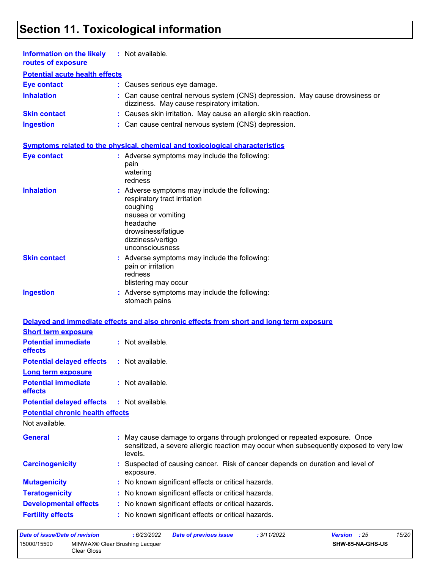| Information on the likely<br>routes of exposure | : Not available.                                                                                                                                                                          |
|-------------------------------------------------|-------------------------------------------------------------------------------------------------------------------------------------------------------------------------------------------|
| <b>Potential acute health effects</b>           |                                                                                                                                                                                           |
| <b>Eye contact</b>                              | : Causes serious eye damage.                                                                                                                                                              |
| <b>Inhalation</b>                               | : Can cause central nervous system (CNS) depression. May cause drowsiness or<br>dizziness. May cause respiratory irritation.                                                              |
| <b>Skin contact</b>                             | : Causes skin irritation. May cause an allergic skin reaction.                                                                                                                            |
| <b>Ingestion</b>                                | : Can cause central nervous system (CNS) depression.                                                                                                                                      |
|                                                 | Symptoms related to the physical, chemical and toxicological characteristics                                                                                                              |
| <b>Eye contact</b>                              | : Adverse symptoms may include the following:<br>pain<br>watering<br>redness                                                                                                              |
| <b>Inhalation</b>                               | : Adverse symptoms may include the following:<br>respiratory tract irritation<br>coughing<br>nausea or vomiting<br>headache<br>drowsiness/fatigue<br>dizziness/vertigo<br>unconsciousness |
| <b>Skin contact</b>                             | : Adverse symptoms may include the following:<br>pain or irritation<br>redness<br>blistering may occur                                                                                    |
| <b>Ingestion</b>                                | : Adverse symptoms may include the following:<br>stomach pains                                                                                                                            |
|                                                 | Delayed and immediate effects and also chronic effects from short and long term exposure                                                                                                  |
| <b>Short term exposure</b>                      |                                                                                                                                                                                           |
| <b>Potential immediate</b><br>effects           | : Not available.                                                                                                                                                                          |
| <b>Potential delayed effects</b>                | : Not available.                                                                                                                                                                          |
| Long term exposure                              |                                                                                                                                                                                           |
| <b>Potential immediate</b><br>effects           | : Not available.                                                                                                                                                                          |
| <b>Potential delayed effects</b>                | : Not available.                                                                                                                                                                          |
| <b>Potential chronic health effects</b>         |                                                                                                                                                                                           |
| Not available.                                  |                                                                                                                                                                                           |
| <b>General</b>                                  | : May cause damage to organs through prolonged or repeated exposure. Once<br>sensitized, a severe allergic reaction may occur when subsequently exposed to very low<br>levels.            |
| <b>Carcinogenicity</b>                          | Suspected of causing cancer. Risk of cancer depends on duration and level of<br>exposure.                                                                                                 |
| <b>Mutagenicity</b>                             | : No known significant effects or critical hazards.                                                                                                                                       |
| <b>Teratogenicity</b>                           | : No known significant effects or critical hazards.                                                                                                                                       |
| <b>Developmental effects</b>                    | : No known significant effects or critical hazards.                                                                                                                                       |
| <b>Fertility effects</b>                        | : No known significant effects or critical hazards.                                                                                                                                       |
|                                                 | $6020000$ Deta of numigual issue<br>.2111/0000<br>1000                                                                                                                                    |

*Date of issue/Date of revision* **:** *6/23/2022 Date of previous issue : 3/11/2022 Version : 25 15/20* 15000/15500 MINWAX® Clear Brushing Lacquer Clear Gloss **SHW-85-NA-GHS-US**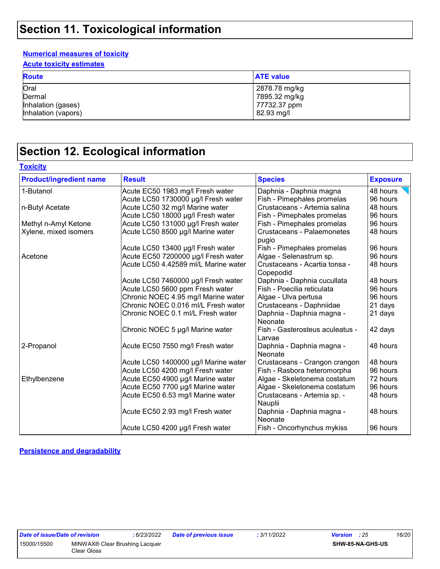#### **Numerical measures of toxicity**

**Acute toxicity estimates**

| <b>Route</b>        | <b>ATE value</b> |
|---------------------|------------------|
| Oral                | 2878.78 mg/kg    |
| Dermal              | 7895.32 mg/kg    |
| Inhalation (gases)  | 77732.37 ppm     |
| Inhalation (vapors) | 82.93 mg/l       |

### **Section 12. Ecological information**

|  |  | Toxicitv |
|--|--|----------|
|  |  |          |

| <b>Product/ingredient name</b> | <b>Result</b>                        | <b>Species</b>                             | <b>Exposure</b> |
|--------------------------------|--------------------------------------|--------------------------------------------|-----------------|
| 1-Butanol                      | Acute EC50 1983 mg/l Fresh water     | Daphnia - Daphnia magna                    | 48 hours        |
|                                | Acute LC50 1730000 µg/l Fresh water  | Fish - Pimephales promelas                 | 96 hours        |
| n-Butyl Acetate                | Acute LC50 32 mg/l Marine water      | Crustaceans - Artemia salina               | 48 hours        |
|                                | Acute LC50 18000 µg/l Fresh water    | Fish - Pimephales promelas                 | 96 hours        |
| Methyl n-Amyl Ketone           | Acute LC50 131000 µg/l Fresh water   | Fish - Pimephales promelas                 | 96 hours        |
| Xylene, mixed isomers          | Acute LC50 8500 µg/l Marine water    | <b>Crustaceans - Palaemonetes</b><br>pugio | 48 hours        |
|                                | Acute LC50 13400 µg/l Fresh water    | Fish - Pimephales promelas                 | 96 hours        |
| Acetone                        | Acute EC50 7200000 µg/l Fresh water  | Algae - Selenastrum sp.                    | 96 hours        |
|                                | Acute LC50 4.42589 ml/L Marine water | Crustaceans - Acartia tonsa -<br>Copepodid | 48 hours        |
|                                | Acute LC50 7460000 µg/l Fresh water  | Daphnia - Daphnia cucullata                | 48 hours        |
|                                | Acute LC50 5600 ppm Fresh water      | Fish - Poecilia reticulata                 | 96 hours        |
|                                | Chronic NOEC 4.95 mg/l Marine water  | Algae - Ulva pertusa                       | 96 hours        |
|                                | Chronic NOEC 0.016 ml/L Fresh water  | Crustaceans - Daphniidae                   | 21 days         |
|                                | Chronic NOEC 0.1 ml/L Fresh water    | Daphnia - Daphnia magna -<br>Neonate       | 21 days         |
|                                | Chronic NOEC 5 µg/l Marine water     | Fish - Gasterosteus aculeatus -<br>Larvae  | 42 days         |
| 2-Propanol                     | Acute EC50 7550 mg/l Fresh water     | Daphnia - Daphnia magna -<br>Neonate       | 48 hours        |
|                                | Acute LC50 1400000 µg/l Marine water | Crustaceans - Crangon crangon              | 48 hours        |
|                                | Acute LC50 4200 mg/l Fresh water     | Fish - Rasbora heteromorpha                | 96 hours        |
| Ethylbenzene                   | Acute EC50 4900 µg/l Marine water    | Algae - Skeletonema costatum               | 72 hours        |
|                                | Acute EC50 7700 µg/l Marine water    | Algae - Skeletonema costatum               | 96 hours        |
|                                | Acute EC50 6.53 mg/l Marine water    | Crustaceans - Artemia sp. -<br>Nauplii     | 48 hours        |
|                                | Acute EC50 2.93 mg/l Fresh water     | Daphnia - Daphnia magna -<br>Neonate       | 48 hours        |
|                                | Acute LC50 4200 µg/l Fresh water     | Fish - Oncorhynchus mykiss                 | 96 hours        |

**Persistence and degradability**

| Date of issue/Date of revision |                    |
|--------------------------------|--------------------|
| 15000/15500                    | <b>MINWAX®</b> Cle |
|                                | Clear Gloss        |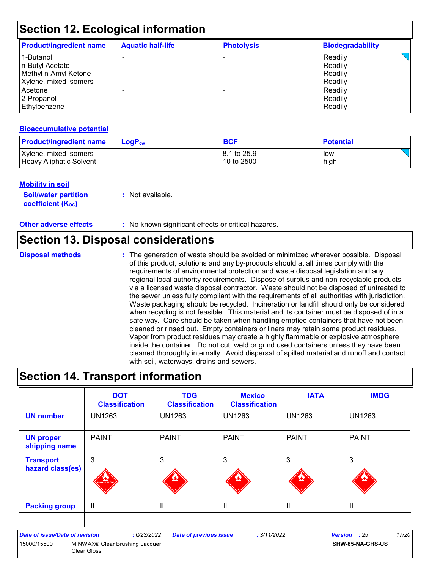| <b>Product/ingredient name</b> | <b>Aquatic half-life</b> | <b>Photolysis</b> | <b>Biodegradability</b> |
|--------------------------------|--------------------------|-------------------|-------------------------|
| 1-Butanol                      |                          |                   | Readily                 |
| n-Butyl Acetate                |                          |                   | Readily                 |
| Methyl n-Amyl Ketone           |                          |                   | Readily                 |
| Xylene, mixed isomers          |                          |                   | Readily                 |
| Acetone                        |                          |                   | Readily                 |
| 2-Propanol                     |                          |                   | Readily                 |
| Ethylbenzene                   |                          |                   | Readily                 |

#### **Bioaccumulative potential**

| <b>Product/ingredient name</b> | $\mathsf{LogP}_\mathsf{ow}$ | <b>BCF</b>   | <b>Potential</b> |
|--------------------------------|-----------------------------|--------------|------------------|
| Xylene, mixed isomers          |                             | 18.1 to 25.9 | low              |
| Heavy Aliphatic Solvent        |                             | 10 to 2500   | high             |

#### **Mobility in soil**

**Soil/water partition coefficient (K**<sub>oc</sub>)

**:** Not available.

**Other adverse effects** : No known significant effects or critical hazards.

### **Section 13. Disposal considerations**

**Disposal methods :**

The generation of waste should be avoided or minimized wherever possible. Disposal of this product, solutions and any by-products should at all times comply with the requirements of environmental protection and waste disposal legislation and any regional local authority requirements. Dispose of surplus and non-recyclable products via a licensed waste disposal contractor. Waste should not be disposed of untreated to the sewer unless fully compliant with the requirements of all authorities with jurisdiction. Waste packaging should be recycled. Incineration or landfill should only be considered when recycling is not feasible. This material and its container must be disposed of in a safe way. Care should be taken when handling emptied containers that have not been cleaned or rinsed out. Empty containers or liners may retain some product residues. Vapor from product residues may create a highly flammable or explosive atmosphere inside the container. Do not cut, weld or grind used containers unless they have been cleaned thoroughly internally. Avoid dispersal of spilled material and runoff and contact with soil, waterways, drains and sewers.

### **Section 14. Transport information**

|                                                      | <b>DOT</b><br><b>Classification</b>                                             | <b>TDG</b><br><b>Classification</b> | <b>Mexico</b><br><b>Classification</b> | <b>IATA</b>   | <b>IMDG</b>                               |
|------------------------------------------------------|---------------------------------------------------------------------------------|-------------------------------------|----------------------------------------|---------------|-------------------------------------------|
| <b>UN number</b>                                     | <b>UN1263</b>                                                                   | <b>UN1263</b>                       | <b>UN1263</b>                          | <b>UN1263</b> | UN1263                                    |
| <b>UN proper</b><br>shipping name                    | <b>PAINT</b>                                                                    | <b>PAINT</b>                        | l PAINT                                | <b>PAINT</b>  | <b>PAINT</b>                              |
| <b>Transport</b><br>hazard class(es)                 | 3<br><b>WINABLE LIQU</b>                                                        | 3                                   | 3                                      | 3             | 3                                         |
| <b>Packing group</b>                                 | $\mathbf{I}$                                                                    | Ш                                   | $\mathbf{H}$                           | $\mathbf{I}$  | II                                        |
| <b>Date of issue/Date of revision</b><br>15000/15500 | : 6/23/2022<br>MINWAX <sup>®</sup> Clear Brushing Lacquer<br><b>Clear Gloss</b> | <b>Date of previous issue</b>       | : 3/11/2022                            |               | 17/20<br>Version : 25<br>SHW-85-NA-GHS-US |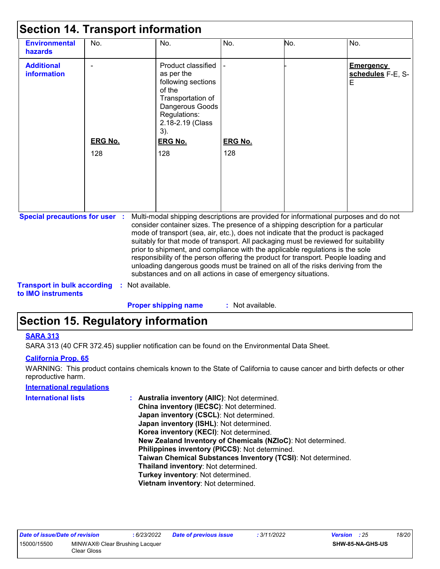| <b>Environmental</b><br>hazards                                             | No.                   | No.                                                                                                                                                                                                                                                                                                                                                                                                                                                                                                                                                                                                                                                                                                   | No.                   | No. | No.                                        |
|-----------------------------------------------------------------------------|-----------------------|-------------------------------------------------------------------------------------------------------------------------------------------------------------------------------------------------------------------------------------------------------------------------------------------------------------------------------------------------------------------------------------------------------------------------------------------------------------------------------------------------------------------------------------------------------------------------------------------------------------------------------------------------------------------------------------------------------|-----------------------|-----|--------------------------------------------|
| <b>Additional</b><br>information                                            | <b>ERG No.</b><br>128 | Product classified<br>as per the<br>following sections<br>of the<br>Transportation of<br>Dangerous Goods<br>Regulations:<br>2.18-2.19 (Class<br>$3)$ .<br><b>ERG No.</b><br>128                                                                                                                                                                                                                                                                                                                                                                                                                                                                                                                       | <b>ERG No.</b><br>128 |     | <b>Emergency</b><br>schedules F-E, S-<br>E |
| <b>Special precautions for user :</b><br><b>Transport in bulk according</b> |                       | Multi-modal shipping descriptions are provided for informational purposes and do not<br>consider container sizes. The presence of a shipping description for a particular<br>mode of transport (sea, air, etc.), does not indicate that the product is packaged<br>suitably for that mode of transport. All packaging must be reviewed for suitability<br>prior to shipment, and compliance with the applicable regulations is the sole<br>responsibility of the person offering the product for transport. People loading and<br>unloading dangerous goods must be trained on all of the risks deriving from the<br>substances and on all actions in case of emergency situations.<br>Not available. |                       |     |                                            |

**to IMO instruments**

**Proper shipping name :**

: Not available.

### **Section 15. Regulatory information**

#### **SARA 313**

SARA 313 (40 CFR 372.45) supplier notification can be found on the Environmental Data Sheet.

#### **California Prop. 65**

WARNING: This product contains chemicals known to the State of California to cause cancer and birth defects or other reproductive harm.

#### **International regulations**

| International lists | : Australia inventory (AIIC): Not determined.                |
|---------------------|--------------------------------------------------------------|
|                     | China inventory (IECSC): Not determined.                     |
|                     | Japan inventory (CSCL): Not determined.                      |
|                     | Japan inventory (ISHL): Not determined.                      |
|                     | Korea inventory (KECI): Not determined.                      |
|                     | New Zealand Inventory of Chemicals (NZIoC): Not determined.  |
|                     | Philippines inventory (PICCS): Not determined.               |
|                     | Taiwan Chemical Substances Inventory (TCSI): Not determined. |
|                     | Thailand inventory: Not determined.                          |
|                     | Turkey inventory: Not determined.                            |
|                     | Vietnam inventory: Not determined.                           |
|                     |                                                              |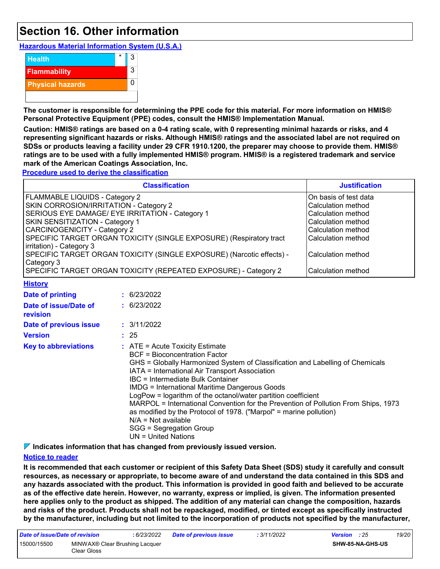### **Section 16. Other information**

**Hazardous Material Information System (U.S.A.)**



**The customer is responsible for determining the PPE code for this material. For more information on HMIS® Personal Protective Equipment (PPE) codes, consult the HMIS® Implementation Manual.**

**Caution: HMIS® ratings are based on a 0-4 rating scale, with 0 representing minimal hazards or risks, and 4 representing significant hazards or risks. Although HMIS® ratings and the associated label are not required on SDSs or products leaving a facility under 29 CFR 1910.1200, the preparer may choose to provide them. HMIS® ratings are to be used with a fully implemented HMIS® program. HMIS® is a registered trademark and service mark of the American Coatings Association, Inc.**

**Procedure used to derive the classification**

|                                                                                                                                                                                                                                                                                                                                                                                                                                                                    | <b>Justification</b> |                                                                                                                                                                                                                                                                                                                                                                                                                                                                                                                                                                                           |                                                                                                                                                                                 |
|--------------------------------------------------------------------------------------------------------------------------------------------------------------------------------------------------------------------------------------------------------------------------------------------------------------------------------------------------------------------------------------------------------------------------------------------------------------------|----------------------|-------------------------------------------------------------------------------------------------------------------------------------------------------------------------------------------------------------------------------------------------------------------------------------------------------------------------------------------------------------------------------------------------------------------------------------------------------------------------------------------------------------------------------------------------------------------------------------------|---------------------------------------------------------------------------------------------------------------------------------------------------------------------------------|
| FLAMMABLE LIQUIDS - Category 2<br>SKIN CORROSION/IRRITATION - Category 2<br>SERIOUS EYE DAMAGE/ EYE IRRITATION - Category 1<br>SKIN SENSITIZATION - Category 1<br><b>CARCINOGENICITY - Category 2</b><br>SPECIFIC TARGET ORGAN TOXICITY (SINGLE EXPOSURE) (Respiratory tract<br>irritation) - Category 3<br>SPECIFIC TARGET ORGAN TOXICITY (SINGLE EXPOSURE) (Narcotic effects) -<br>Category 3<br>SPECIFIC TARGET ORGAN TOXICITY (REPEATED EXPOSURE) - Category 2 |                      |                                                                                                                                                                                                                                                                                                                                                                                                                                                                                                                                                                                           | On basis of test data<br>Calculation method<br>Calculation method<br>Calculation method<br>Calculation method<br>Calculation method<br>Calculation method<br>Calculation method |
| <b>History</b>                                                                                                                                                                                                                                                                                                                                                                                                                                                     |                      |                                                                                                                                                                                                                                                                                                                                                                                                                                                                                                                                                                                           |                                                                                                                                                                                 |
| <b>Date of printing</b><br>Date of issue/Date of<br>revision<br>Date of previous issue<br><b>Version</b><br><b>Key to abbreviations</b>                                                                                                                                                                                                                                                                                                                            |                      | : 6/23/2022<br>: 6/23/2022<br>: 3/11/2022<br>: 25<br>: ATE = Acute Toxicity Estimate<br><b>BCF</b> = Bioconcentration Factor<br>GHS = Globally Harmonized System of Classification and Labelling of Chemicals<br>IATA = International Air Transport Association<br>IBC = Intermediate Bulk Container<br><b>IMDG = International Maritime Dangerous Goods</b><br>LogPow = logarithm of the octanol/water partition coefficient<br>MARPOL = International Convention for the Prevention of Pollution From Ships, 1973<br>as modified by the Protocol of 1978. ("Marpol" = marine pollution) |                                                                                                                                                                                 |

SGG = Segregation Group UN = United Nations

**Indicates information that has changed from previously issued version.**

 $N/A = Not available$ 

#### **Notice to reader**

**It is recommended that each customer or recipient of this Safety Data Sheet (SDS) study it carefully and consult resources, as necessary or appropriate, to become aware of and understand the data contained in this SDS and any hazards associated with the product. This information is provided in good faith and believed to be accurate as of the effective date herein. However, no warranty, express or implied, is given. The information presented here applies only to the product as shipped. The addition of any material can change the composition, hazards and risks of the product. Products shall not be repackaged, modified, or tinted except as specifically instructed by the manufacturer, including but not limited to the incorporation of products not specified by the manufacturer,**

| Date of issue/Date of revision |                                               | : 6/23/2022 | <b>Date of previous issue</b> | : 3/11/2022             | <b>Version</b> : 25 | 19/20 |
|--------------------------------|-----------------------------------------------|-------------|-------------------------------|-------------------------|---------------------|-------|
| 15000/15500                    | MINWAX® Clear Brushing Lacquer<br>Clear Gloss |             |                               | <b>SHW-85-NA-GHS-US</b> |                     |       |